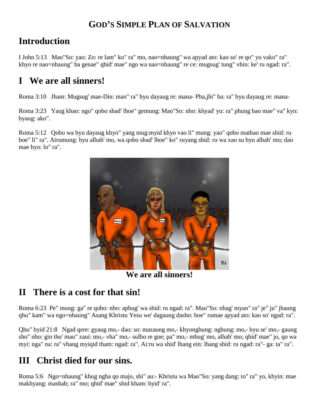## **GOD'S SIMPLE PLAN OF SALVATION**

#### **Introduction**

I John 5:13 Mao"So: yao: Zo: re lam" ko" ra" mo, nao=nhaung" wa apyad ato: kao so' re qo" yu vako" ra" khyo re nao=nhaung" ba genae" qhid' mae" ngo wa nao=nhaung" re ce: mugsug' tung" vhin: ke' ru ngad: ra".

## **I We are all sinners!**

Roma 3:10 Jham: Mugsug' mae-Din: man" ra" byu dayaug re: mana- Pha,jhi" ba: ra" byu dayaug re: mana-

Roma 3:23 Yaug khao: ngo" qobo shad' lhoe" gemung: Mao"So: nho: khyad' yu: ra" phung bao mae" va" kyo: byaug: ako".

Roma 5:12 Qobo wa byu dayaug khyo" yang mug:myid khyo vao li" mung: yao" qobo mathao mae shid: ru boe" li" ra". Airumung: byu alhab' mo, wa qobo shad' lhoe" ko" ruyang shid: ru wa xao su byu alhab' mo; dao mae byo: lo" ra".



**We are all sinners!**

## **II There is a cost for that sin!**

Roma 6:23 Pe" mung: ga" re qobo: nho: aphug' wa shid: ru ngad: ra". Mao"So: nhag' myan" ra" je" ju" jhaung qhu" kam" wa ngo=nhaung" Asang Khristu Yesu we' dagaung dasho: boe" rumae apyad ato: kao so' ngad: ra".

Qhu" byid 21:8 Ngad qere: gyaug mo,- dao: so: mazaung mo,- khyonghung: nghung: mo,- byu se' mo,- gaung sho" nho: gin tho' mau" zaui: mo,- vha" mo,- sulho re goe; pa" mo,- mhug' mo, alhab' mo; qhid' mae" jo, qo wa myi: nga" na: ra" vhang myiqid tham: ngad: ra". Ai:ru wa shid' lhang ein: lhang shid: ru ngad: ra"- ga: ta" ra".

## **III Christ died for our sins.**

Roma 5:6 Ngo=nhaung" khug ngha qo majo, shi" au:- Khristu wa Mao"So: yang dang: to" ra" yo, khyin: mae makhyang: mashab; ra" mo; qhid' mae" shid kham: byid' ra".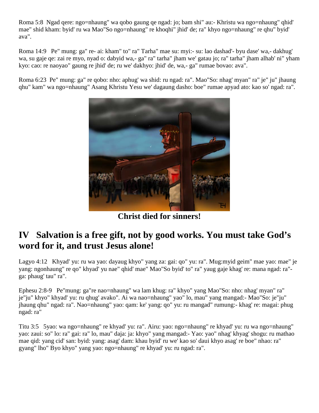Roma 5:8 Ngad qere: ngo=nhaung" wa qobo gaung qe ngad: jo; bam shi" au:- Khristu wa ngo=nhaung" qhid' mae" shid kham: byid' ru wa Mao"So ngo=nhaung" re khoqhi" jhid' de; ra" khyo ngo=nhaung" re qhu" byid' ava".

Roma 14:9 Pe" mung: ga" re- ai: kham" to" ra" Tarha" mae su: myi:- su: lao dashad'- byu dase' wa,- dakhug' wa, su gaje qe: zai re myo, nyad o: dabyid wa,- ga" ra" tarha" jham we' gatau jo; ra" tarha" jham alhab' ni" yham kyo: cao: re naoyao" gaung re jhid' de; ru we' dakhyo: jhid' de, wa,- ga" rumae bovao: ava".

Roma 6:23 Pe" mung: ga" re qobo: nho: aphug' wa shid: ru ngad: ra". Mao"So: nhag' myan" ra" je" ju" jhaung qhu" kam" wa ngo=nhaung" Asang Khristu Yesu we' dagaung dasho: boe" rumae apyad ato: kao so' ngad: ra".



**Christ died for sinners!**

#### **IV Salvation is a free gift, not by good works. You must take God's word for it, and trust Jesus alone!**

Lagyo 4:12 Khyad' yu: ru wa yao: dayaug khyo" yang za: gai: qo" yu: ra". Mug:myid geim" mae yao: mae" je yang: ngonhaung" re qo" khyad' yu nae" qhid' mae" Mao"So byid' to" ra" yaug gaje khag' re: mana ngad: ra" ga: phaug' tau" ra".

Ephesu 2:8-9 Pe"mung: ga"re nao=nhaung" wa lam khug: ra" khyo" yang Mao"So: nho: nhag' myan" ra" je"ju" khyo" khyad' yu: ru qhug' avako". Ai wa nao=nhaung" yao" lo, mau" yang mangad:- Mao"So: je"ju" jhaung qhu" ngad: ra". Nao=nhaung" yao: qam: ke' yang: qo" yu: ru mangad" rumung:- khag' re: magai: phug ngad: ra"

Titu 3:5 5yao: wa ngo=nhaung" re khyad' yu: ra". Airu: yao: ngo=nhaung" re khyad' yu: ru wa ngo=nhaung" yao: zaui: so" lo: ra" gai: ra" lo, mau" daja: ja: khyo" yang mangad:- Yao: yao" nhag' khyag' shogu: ru mathao mae qid: yang cid' san: byid: yang: asag' dam: khau byid' ru we' kao so' daui khyo asag' re boe" nhao: ra" gyang" lho" Byo khyo" yang yao: ngo=nhaung" re khyad' yu: ru ngad: ra".